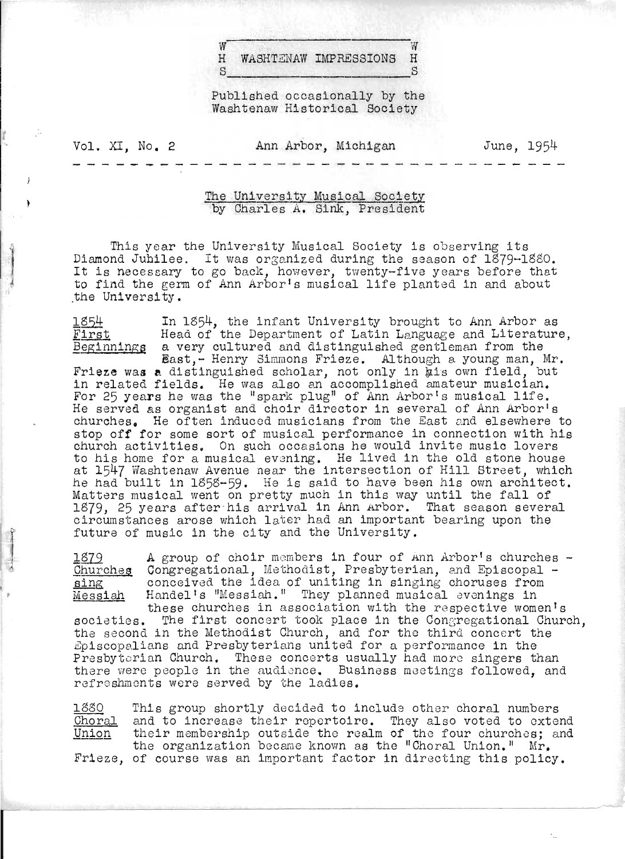$\frac{w}{w}$ H WASHTZNAW IMPRESSIONS H  $S_{\text{max}}$   $S$ 

Published occasionally by the Washtenaw Historical Society

Vol. XI, No. 2 Ann Arbor, Michigan June, 1954

## The University Musical Society<br>by Charles A. Sink, President

This year the University Musical Society is observing its Diamond Jubilee. It was organized during the season of  $1879-1880$ . It is necessary to go back, however, twenty-five years before that to find the germ of Ann Arbor's musical life planted in and about the University.

1854

 $\frac{1}{2}$ 

 $\blacksquare$ 

First Head of the Department of Latin Language and Literature, Beginnings a very cultured and distinguished gentleman from the In 1854, the infant University brought to Ann Arbor as

East,- Henry Simmons Frieze. Although a young man, Mr. Frieze was a distinguished scholar, not only in his own field, but in related fields. He was also an accomplished amateur musician. For 25 years he was the "spark plug" of Ann Arbor's musical life. He served as organist and choir director in several of Ann Arborls churches. He often induced musicians from the East and elsewhere to stop off for some sort of musical performance in connection with his church activities. On such occasions he would invite music lovers to his home for a musical evening. He lived in the old stone house at 1547 Washtenaw Avenue near the intersection of Hill Street, which he had built in 1858-59. He is said to have been his own architect. Matters musical went on pretty much in this way until the fall of 1879, 25 years after-his arrival in Ann Arbor. That season several circumstances arose which later had an important bearing upon the future of music in the city and the University.

1879 A group of choir members in four of Ann Arbor's churches - Churches Congregational, Methodist, Presbyterian, and Episcopal - conceived the idea of uniting in singing choruses from Handel's "Messiah." They planned musical evenings in these churches in association with the respective women's

societies. The first concert took place in the Congregational Church, the second in the Methodist Church, and for the third concert the Episcopalians and Presbyterians united for a performance in the Presbyterian Church. These concerts usually had more singers than there were people in the audience. Business meetings followed, and refreshments were served by the ladies.

188Q Choral Union This group shortly decided to include other choral numbers and to increase their repertoire. They also voted to extend their membership outside the realm of the four churches; and the organization became known as the "Choral Union."  $Mr_{\bullet}$ 

Frieze, of course was an important factor in directing this policy.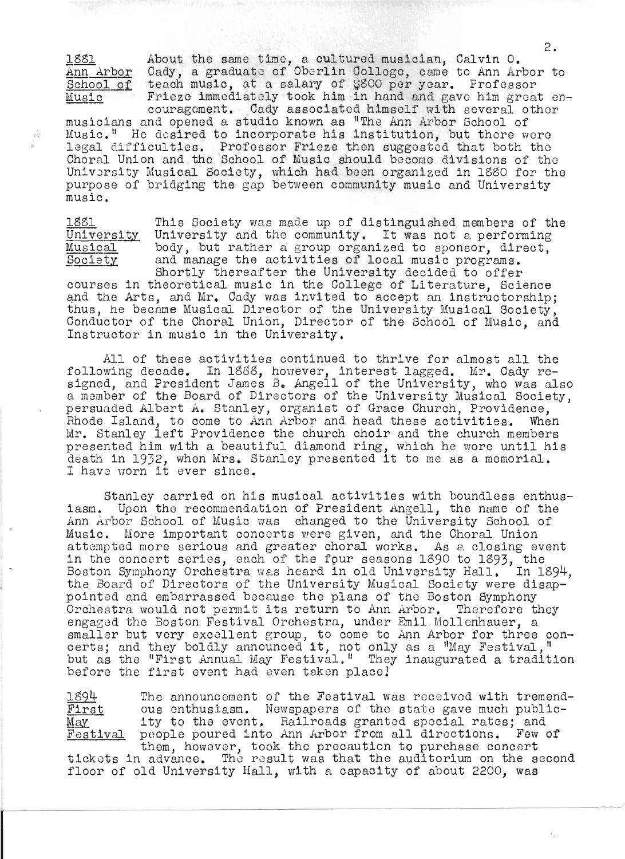1881 Ann Arbor Cady, a graduate of Oberlin College, came to Ann Arbor to <u>Ann Arbor</u> Cady, a graduate of Oberlin College, came to Ann Arbor<br><u>School of</u> teach music, at a salary of \$800 per year. Professor MUsic About the same time, a cultured musician, Calvin O. Frieze immediately took him in hand and gave him great en-

couragement. Cady associated himself with several other musicians and opened a studio known as "The Ann Arbor School of Music." He desired to incorporate his institution, but there were legal difficulties. Professor Frieze then suggested that both the Choral Union and tho School of Music should become divisions of the University Musical Society, which had been organized in 1880 for the purpose of bridging the gap between community music and University music .

 $\eta$ 

1881 University Musical Society This Society was made up of distinguished members of the University and the community. It was not a performing body, but rather a group organized to sponsor, direct, and manage the activities of local music programs. Shortly thereafter the University decided to offer

courses in theoretical music in the College of Literature, Science and the Arts, and Mr. Cady was invited to accept an instructorship: thus, he became MUsical Director of the University Musical Society, Conductor of the Choral Union, Director of the School of Music; and Instructor in music in the University .

All of these activities continued to thrive for almost all the following decade. In 1888, however, interest lagged. Mr. Cady resigned, and President James B. Angell of the University, who was also a member of the Board of Directors of the University Musical SOCiety, persuaded Albert A. Stanley, organist of Grace Church, Providence, Rhode Island, to come to Ann Arbor and head these activities. When Mr. Stanley left Providence the church choir and the church members presented him with a beautiful diamond ring, which he wore until his death in 1932, when Mrs. Stanley presented it to me as a memorial. I have worn it ever since.

Stanley carried on his musical activities with boundless enthusiasm. Upon the recommendation of President Angell, the name of the Ann Arbor School of Music was changed to the University School of Music. More important concerts were given, and the Choral Union attempted more serious and greater choral works. As a closing event accompose more serious and greater enorms works. He expeding over In the concert Borrow, cash of the real Boassing rege to regg, the Boston Symphony Orchestra was heard in old University Hall. In 1894, the Board of Directors of the University Musical Society were disappOinted and embarrassed because the plans of the Boston Symphony Orchestra would not permit its return to Ann Arbor. Therefore they engaged the Boston Festival Orchestra, under Emil Mollenhauer, a engaged the boston restival ordestia, under Emil Moliennauer, a smaller but very excellent group, to come to Alm Arbor for three c<br>certs; and they boldly announced it, not only as a "May Festival," but as the "First Annual May Festival." They inaugurated a tradition before the first event had even taken place!

1894 First May Festival The announcement of the Festival was received with tremending announcement of the restrum was received wron or emena eds chomasiasm: Acaspapers of the Boace gave mach passing ty to the event. Railroads granted special rates; and poople poured into Ann .Arbor from all directions. Few of them, however, took the precaution to purchase concert

tickets in advance. The result was that the auditorium on the second floor of old University Hall, with a capacity of about 2200, was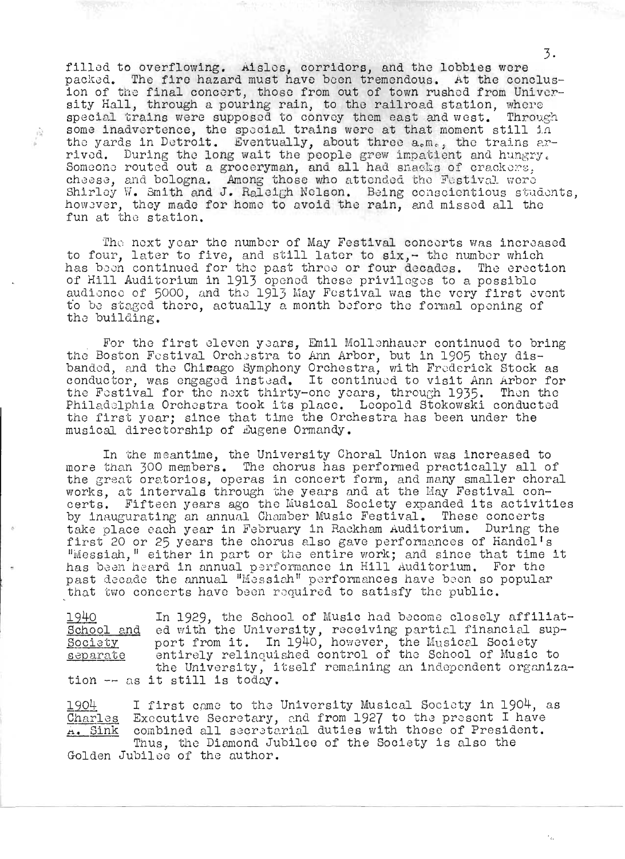filled to overflowing. Aisles, corridors, and the lobbies were packed. The fire hazard must have been tremendous. At the conclusion of the final concert, those from out of town rushed from University Hall, through a pouring rain, to the railroad station, where special trains were supposed to convey them east and west. Through some inadvertence, the spocial trains were at that moment still in the yards in Detroit. Eventually, about three  $a_{\rm s}m_{\rm s}$ , the trains arthe yards in Detroit. Eventually, about three a.m., the trains ar-<br>the yards in Detroit. Eventually, about three a.m., the trains ar-<br>rived. During the long wait the people grew impatient and hungry. Tryed. During the fong wart the people grew impattent and hungry<br>Someone routed out a groceryman, and all had snacks of crackers, cheese, and bologna. Among those who attended the Festival were Shirley W. Smith and J. Raleigh Nelson. Being conscientious students, howsver, they made for home to avoid the rain, and missed all the fun at the station.

The next year the number of May Festival concerts was increased to four, later to five, and still later to  $\text{six}, -$  the number which has been continued for the past three or four decades. The erection ras boen continued for the past three or four decades. The erect<br>of Hill Auditorium in 1913 opened these privileges to a possible of hill Additoriam in 1919 opened these privileges to a possible<br>audience of 5000, and the 1913 May Festival was the very first event to be staged there, actually a month before the formal opening of the building.

For the first eleven years, Emil Mollenhauer continued to bring the Boston Festival Orchestra to Ann Arbor, but in 1905 they disbanded, and the Chicago Symphony Orchestra, with Frederick Stock as conductor, was engaged instead. It continued to visit Ann Arbor for the Fostival for the next thirty-one years, through 1935. Then the Philadelphia Orchestra took its placo. Leopold Stokowski conducted the first year; since that time the Orchestra has been under the musical directorship of Eugene Ormandy.

In the meantime, the University Choral Union was increased to mora than 300 members. The chorus has performed practically all of the great oratorios, operas in concert form, and many smaller choral works, at intervals through the years and at the May Festival convorks, at intervals through the years and at the may restival con-<br>erts. Fifteen years ago the Musical Society expanded its activities by inaugurating an annual Chomber Music Festival. These conc erts take place each year in February in Rackham Auditorium. During the first 20 or 25 years the chorus also gave performances of Handel's . "Messiah," either in part or the entire work; and since that time it has been heard in annual performance in Hill Auditorium. For the past decade the annual "Messiah" performances have been so popular that two concerts have been required to satisfy the public.

1940 School and In 1929, the School of Music had become closely affiliated with the University, receiving partial financial sup-<br>School and ed with the University, receiving partial financial sup-<br>Society bort from it. In 1940, however, the Musical Society Society<br>separate the University, it<br>.tion -- as it still is today entirely relinquished control of the School of Music to the University, itself remaining an independent organiza-

I first came to the University Musical Society in 1904, as 1904 Executive Secretary, and from 1927 to the present I have<br>combined all secretarial duties with those of President.<br>Thus, the Diamond Jubilee of the Society is also the Charles <u>a. Sink</u> Thus, the Diamond Jubilee of the Society is also the Golden Jubilee of the author.

 $\Gamma_{\rm Pl}^{-1}$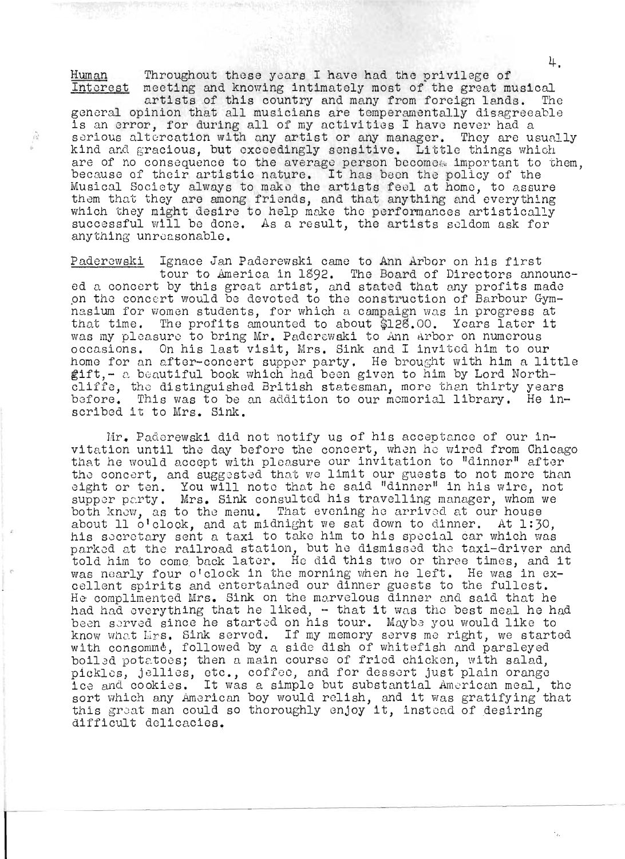Human Throughout these years I have had the privilege of Interest meeting and knowing intimately most of the great musical artists of this country and many from foreign lands. The general opinion that all musicians are temperamentally disagreeable is an error, for during all of my activities I have never had a serious altercation with any artist or any manager. They are usually kind and gracious, but exceedingly sensitive. Little things which are of no consequence to the average person becomes important to them, because of their artistic nature. It has been the policy of the Musical Society always to mako the artists feo1 at homo, to assure them that they are among friends, and that anything and everything<br>them that they are among friends, and that anything and everything whem that they are among iriends, and that anything and everything<br>which they might desire to help make the performances artistically successful will be done. As a result, the artists soldom ask for anything unreasonable.

 $\hat{h}$ 

Paderewski Ignace Jan Paderewski came to Ann Arbor on his first tour to America in 1\$92. The Board of Directors announctour to mmerica in 1892. The Board of Directors announce<br>d a concert by this great artist, and stated that any profits made on a concert by anisterate artist, and stated that any profits made nasium for women students, for which a campaign was in progress at that time. The profits amounted to about \$128.00. Years later it was my pleasure to bring Mr. Paderewaki to Ann Arbor on numerous occasions. On his last visit, Mrs. Sink and I invited him to our home for an after-concert supper party. He brought with him a little gift, - a beautiful book which had been given to him by Lord Northcliffe, the distinguished British statesman, more than thirty years before. This was to be an addition to our memorial library. He inscribed it to Mrs. Sink.

Mr. Paderewski did not notify us of his acceptance of our invitation until the day before the concert, when he wired from Chicago that he would accept with pleasure our invitation to "dinner" after the concert, and suggested that we limit our guests to not more than Ind concert, and suggested that we fimit our guests to not more than<br>ight or ten. You will note that he said "dinner" in his wire, not signt or ten. You will note that he said "dinner" in his wire, not<br>supper party. Mrs. Sink consulted his travelling manager, whom we both know, as to the menu. That evening he arrived at our house about 11  $o'$  clock, and at midnight we sat down to dinner. At 1:30, his socrctary scnt a taxi to take him to his special car which was parked at the railroad station, but he dismissed tho taxi-driver and told him to come back later. He did this two or three times, and it was nearly four o'clock in the morning when he 1cft. He was in excellent spirits and ontertaincd our dinner guests to the fullest. He complimented Mrs. Sink on the marvelous dinner and said that he had had everything that he liked,  $-$  that it was the best meal he had rad had everything that he iiked, - that it was the best meal he ha<br>been served since he started on his tour. Maybe you would like to been served since he started on his tour. Maybe you would like to<br>know what Lirs. Sink served. If my memory servs me right, we started with consomme, followed by a side dish of whitefish and parsleyed boi13d potatoes; then a main course of fried chicken, with salad, pickles, jellies, etc., coffeo, and for dessert just plain orange ice and cookies. It was a simple but substantial American meal, the sort which any American boy would relish, and it was gratifying that sort which any American boy would relish, and it was gratifying t<br>this great man could so thoroughly enjoy it, instead of desiring ants great man could so thoroughly enjoy.<br>difficult delicacies.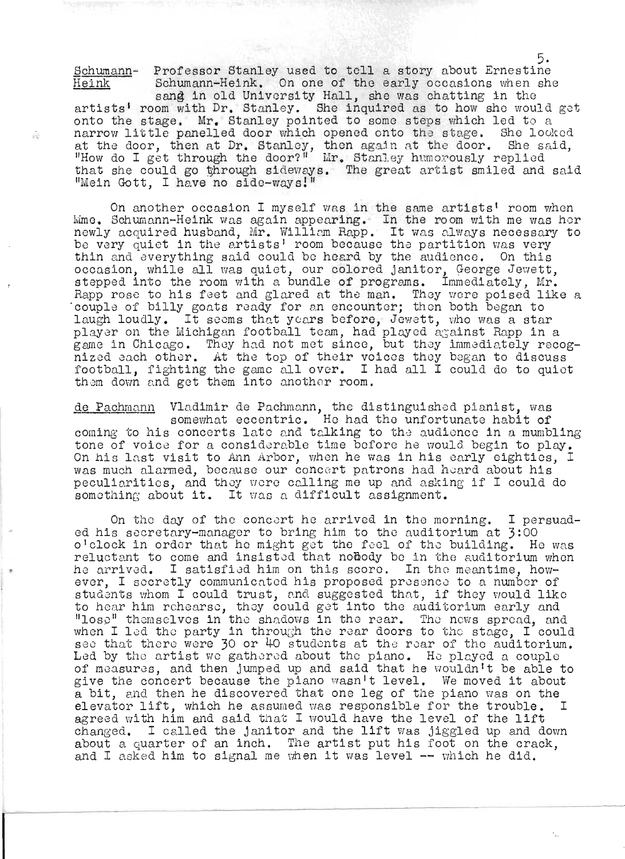Schumann- Professor Stanley used to tell a story about Ernestine Heink Schumann-Heink. On one of the early occasions when she sang in old University Hall, she was chatting in the artists' room with Dr. Stanley. She inquired as to how she would got onto the stage. Mr. Stanley pointed to some steps which led to a narrow little panelled door which opened onto the stage. She looked at the door, then at Dr. Stanley, then again at the door. She said, "How do I get through the door?" Mr. Stanley humorously replied that she could go through sideways. The great artist smiled and said "Mein Gott, I have no side-ways!"

 $\langle \cdot \rangle$ 

On another occasion I myself was in the same artists' room when ime. Schumann-Heink was again appearing. In the room with me was her ume. Schumann-heink was again appearing. In the room with me was her<br>newly acquired husband, Mr. William Rapp. It was always necessary to be very quiet in the artists' room because the partition was very thin and everything said could be heard by the audience. On this occasion, while all was quiet, our colored janitor, George Jewett,<br>pecasion, while all was quiet, our colored janitor, George Jewett, stepped into the room with a bundle of programs. Immediately, Mr. Rapp rose to his feet and glared at the man. They were poised like a couple of billy goats ready for an encounter; then both began to laugh loudly. It seems that years before, Jewett, who was a star radge roudry. To seems ongo years before, cemeto, who was a star game in Chicago. They had not met since, but they immediately recogsame in onicago. They had not met since, but they immediately recog football, fighting the game allover. I had all I could do to quiet them down and get them into another room.

de Pachmann Vladimir de Pachmann, the distinguished pianist, was somewhat eccentric. He had the unfortunate habit of coming to his concerts late and talking to the audience in a mumbling tone of voice for a considerable time before he would begin to play.<br>On his last visit to Ann Arbor, when he was in his early eighties, I on his last visit to Ann Arbor, when he was in his early eightles,<br>was much alarmed, because our concert patrons had heard about his peculiarities, and they were calling me up and asking if I could do something about it. It was a difficult assignment.

On the day of the concert he arrived in the morning. I persuaded his secretary-manager to bring him to the auditorium at 3:00 of this secretary manager to simight in the addressment at j.ee reluctant to come and insisted that nobody be in the auditorium when he arrived. I satisfied him on this scoro. In the meantime, however, I secretly communicated his proposed presence to a number of students whom I could trust, and suggested that, if they would like to hear him rehearse, they could get into the auditorium early and lose" themselves in the shadows in the rear. The news spread, and when I led the party in through the rear doors to the stage, I could see that there were 30 or 40 students at the rear of the auditorium. Led by the artist we gathered about the piano. He played a couple of measures, and then jumped up and said that he wouldn't be able to give the concert because the piano wasn't level. We moved it about a bit, and then he discovered that one leg of the piano was on the elevator lift, which he assumed was responsible for the trouble. I agreed with *him* and said that I would have the level of the lift changed. I called the janitor and the 11ft was jiggled up and down about a quarter of an inch. The artist put h1s foot on the crack, and I asked him to signal me when it was level -- which he did.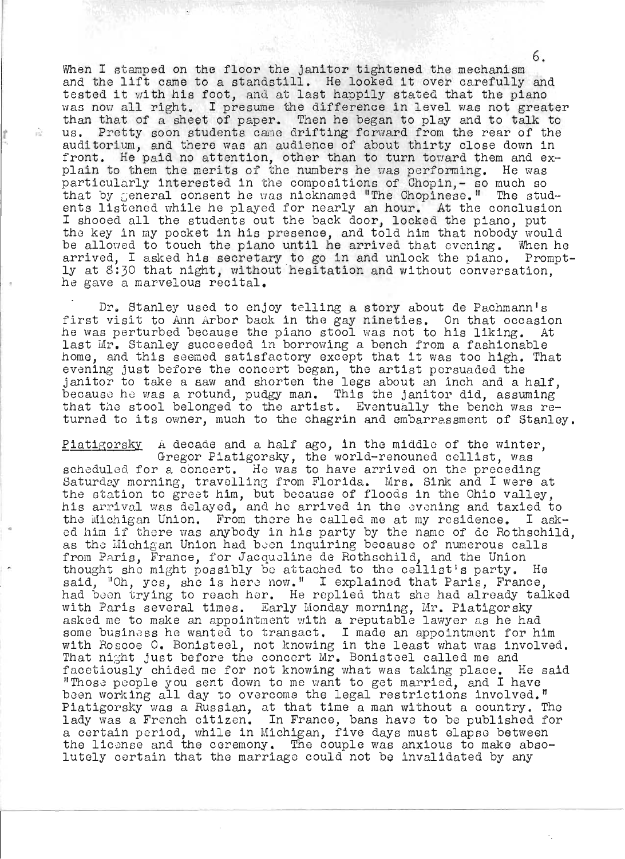When I stamped on the floor the janitor tightened the mechanism and the lift came to a standstill. He looked it over carefully and tested it with his foot, and at last happily stated that the piano was now all right. I presume the difference in level was not greater than that of a sheet of paper. Then he began to play and to talk to **the conductance of the conduct of paper.** Then he began so pray and so said to auditorium, and there was an audience of about thirty close down in front. He paid no attention, other than to turn toward them and explain to them the merits of the numbers he was performing. He was particularly interested in the compositions of Chopin,- so much so that by General consent he was nicknamed "The Chopinese." The students listened while he played for nearly an hour. At the conclusion I shooed all the students out the back door, locked the piano, put the key in my pocket in his presence, and told him that nobody would be allowed to touch the piano until he arrived that evening. When he arrived, I asked his secretary to go in and unlock the piano. Prompt $l$ y at 8:30 that night, without hesitation and without conversation, he gave a marvelous recital.

Dr. Stanley used to enjoy telling a story about de Pachmann's IT. Beanney used to enjoy terring a story about de radimann's<br>first visit to Ann Arbor back in the gay nineties. On that occasion he was perturbed because the piano stool was not to his liking. At last Mr. Stanley succeeded in borrowing a bench from a fashionable home, and this seemed satisfactory except that it was too high. That iome, and this seemed satisfactory except that it was too figh.<br>evening just before the concert began, the artist persuaded the janitor to take a saw and shorten the legs about an inch and a half, panroof to take a haw and shorten the legs about an inen and a hair, because he was a rotund, pudgy man. This the janitor did, assuming<br>that the stool belonged to the artist. Eventually the bench was returned to its owner, much to the chagrin and embarressment of Stanley.

Piatigorsky A decade and a half ago, in the middle of the winter, A decade and a hall ago, in the middle of the winter<br>Gregor Piatigorsky, the world-renouned cellist, was scheduled for a concert. He was to have arrived on the preceding Saturday morning, travelling from Florida. Mrs. Sink and I were at the station to greet him, but because of floods in the Ohio valley, his arrival was delayed, and he arrived in the evening and taxied to the Michigan Union. From there he called me at my residence. I askthe michigan onion. From there he called me at my residence. I ask-<br>ed him if there was anybody in his party by the name of de Rothschild, as the Michigan Union had been inquiring because of numerous calls from Paris, France, for Jacquoline de Hothschild, and the Union thought she might possibly be attached to the cellist's party. He enought she might possibly be attached to the cellist s party. He<br>said, "Oh, yes, she is here now." I explained that Paris, France, had boon trying to reach hor. He replied that she had already talked with Paris several times. Early Monday morning, Mr. Piatigorsky asked me to make an appointment with a reputable lawyer as he had some business he wanted to transact. I made an appointment for him with Hoscoe O. Bonistecl, not knowing in the least what was involved. That night just before the concert Mr. Bonisteel called me and facetiously chided me for not knowing what was taking place. He said "Those people you sent down to me want to get married, and I have been working all day to overcome the legal restrictions involved." Piatigorsky was a Russian, at that time a man without a country. The lady was a French citizen. In France, bans have to be published for a certain period, while in Michigan, five days must elapse between the license and the ceremony. The couple was anxious to make absolutely certain that the marriage could not be invalidated by any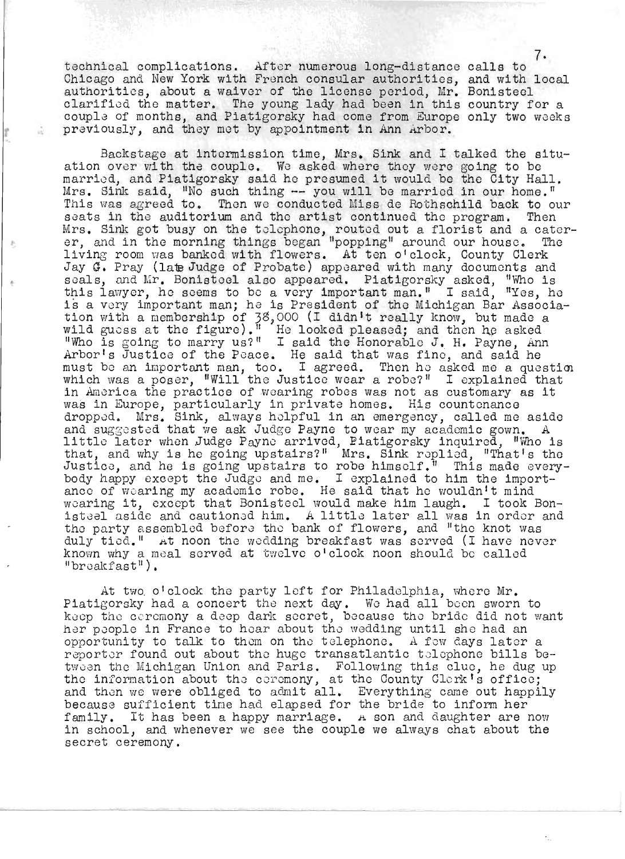technical complications. After numerous long-distance calls to Chicago and New York with French consular authorities, and with local authorities, about a waiver of the license period, Mr. Bonisteel idinorities, about a waiver of the ficense period, mr. Bonisteel<br>larified the matter. The young lady had been in this country for a couple of months, and Piatigorsky had come from Europe only two weeks previously, and they met by appointment in Ann Arbor.

Backstage at intormission time, Mrs. Sink and I talked the situation over with the couple. We asked where they were going to be marriod, and Piatigorsky said he presumed it would be the City Hall, Mrs. Sink said, "No such thing -- you will be married in our home." This was agreed to. Then we conducted Miss de Rothschild back to our seats in the auditorium and the artist continued the program. Then seats in the auditorium and the artist continued the program. Then<br>Ars. Sink got busy on the telephone, routed out a florist and a caterers. Bink got busy on the terrephone, routed out a riorist and a cater<br>r. and in the morning things began "popping" around our house. The If, and in the morning things began popping around our house. In Jay G. Pray (late Judge of Probate) appeared with many documents and ay G. Fray (law Judge of Frobate) appeared with many documents and<br>eals, and Mr. Bonisteel also appeared. Piatigorsky asked, "Who is tais, and mi, boniscest also appeared. That goisny asked, who is<br>his lawyer, he seems to be a very important man." I said, "Yes, he is a very important man; he is President of the Michigan Bar Associathe a very important man; he is rresident of the michigan par Associ<br>ion with a membership of 38,000 (I didn't really know, but made a with a membership of  $\beta$ ,  $\beta$ ,  $\alpha$  and the figure). It is a looked pleased: and then he asked Ild guess at the ligure). The looked pleased; and then he asked<br>Who is going to marry us?" I said the Honorable J. H. Payne, Ann who is going to marry us. I said the honorable of h. rayne, Annew must be an important man, too. I agreed. Then he asked me a question which was a poser. "Will the Justice wear a robe?" I explained that nich was a poser, "Will the Justice wear a robe?" I explained that<br>.n America the practice of wearing robes was not as customary as it in America the practice of wearing robes was not as customary as it was in Europe, particularly in private homes. His countenance das in Europe, particularly in private homes. This countenance<br>iropped. Mrs. Sink, always helpful in an emergency, called me aside and suggosted that we ask Judge Payne to wear my academic gown. A and suggested that we ask Judge Payne to wear my academic gown. A<br>.ittle later when Judge Payne arrived, Piatigorsky inquired, "Who is ittle later when Judge rayne arrived, riatigorsky inquired, "who is.<br>hat, and why is he going upstairs?" Mrs. Sink replied. "That's the inat, and why is he going upstairs." Mrs. Sink replied, "that's the<br>Ustice, and he is going upstairs to robe himself." This made every-Justice, and he is going upstairs to robe himself.<sup>1</sup> This made every-<br>body happy except the Judge and me. I explained to him the importance of wearing my academic robe. He said that ho wouldn't mind ance of wearing my academic robe. He said that he wouldn't mind<br>vearing it, except that Bonisteel would make him laugh. I took Bonrearing it, except that Bonisteel would make him laugh. I took Bon-<br>.steel aside and cautioned him. A little later all was in order and the party assembled before the bank of flowers, and "the knot was".<br>The party assembled before the bank of flowers, and "the knot was" duly tied." At noon the wedding breakfast was served (I have never known why a meal served at twelve o'clock noon should be called "broakfast").

At two o'clock the party left for Philadelphia, where Mr. Piatigorsky had a concert the next day. We had all been sworn to keep the ceremony a deep dark secret, because the bride did not want her poople in France to hoar about the wedding until she had an opportunity to talk to them on the telephone. A few days later a reporter found out about the huge transatlantic telephone bills beteporter found out about the huge transatiantic telephone bills be-<br>ween the Michigan Union and Paris. Following this clue, he dug up tho information about the ceromony, at the County Clerk's office:<br>the information about the ceromony, at the County Clerk's office: ine inrormation about the ceremony, at the Gounty Glerk's office;<br>ind then we were obliged to admit all. Everything came out happily ind then we were obiiged to admit ail. Everything came out happ.<br>Decause sufficient time had elapsed for the bride to inform her ecause sufficient time had elapsed for the bride to inform her<br>'amily. It has been a happy marriage. A son and daughter are now family. It has been a happy marriage. A son and daughter are now<br>in school, and whenever we see the couple we always chat about the secret ceremony.